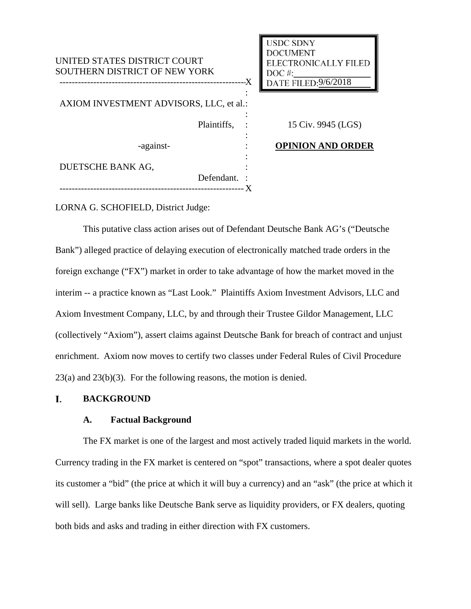| UNITED STATES DISTRICT COURT<br>SOUTHERN DISTRICT OF NEW YORK<br>-X |             |  | <b>USDC SDNY</b><br><b>DOCUMENT</b><br><b>ELECTRONICALLY FILED</b><br>$DOC$ #:<br>DATE FILED: 9/6/2018 |
|---------------------------------------------------------------------|-------------|--|--------------------------------------------------------------------------------------------------------|
| AXIOM INVESTMENT ADVISORS, LLC, et al.:                             |             |  |                                                                                                        |
|                                                                     | Plaintiffs, |  | 15 Civ. 9945 (LGS)                                                                                     |
| -against-                                                           |             |  | <b>OPINION AND ORDER</b>                                                                               |
| DUETSCHE BANK AG,                                                   |             |  |                                                                                                        |
|                                                                     | Defendant.  |  |                                                                                                        |

LORNA G. SCHOFIELD, District Judge:

This putative class action arises out of Defendant Deutsche Bank AG's ("Deutsche Bank") alleged practice of delaying execution of electronically matched trade orders in the foreign exchange ("FX") market in order to take advantage of how the market moved in the interim -- a practice known as "Last Look." Plaintiffs Axiom Investment Advisors, LLC and Axiom Investment Company, LLC, by and through their Trustee Gildor Management, LLC (collectively "Axiom"), assert claims against Deutsche Bank for breach of contract and unjust enrichment. Axiom now moves to certify two classes under Federal Rules of Civil Procedure 23(a) and 23(b)(3). For the following reasons, the motion is denied.

#### I. **BACKGROUND**

## **A. Factual Background**

The FX market is one of the largest and most actively traded liquid markets in the world. Currency trading in the FX market is centered on "spot" transactions, where a spot dealer quotes its customer a "bid" (the price at which it will buy a currency) and an "ask" (the price at which it will sell). Large banks like Deutsche Bank serve as liquidity providers, or FX dealers, quoting both bids and asks and trading in either direction with FX customers.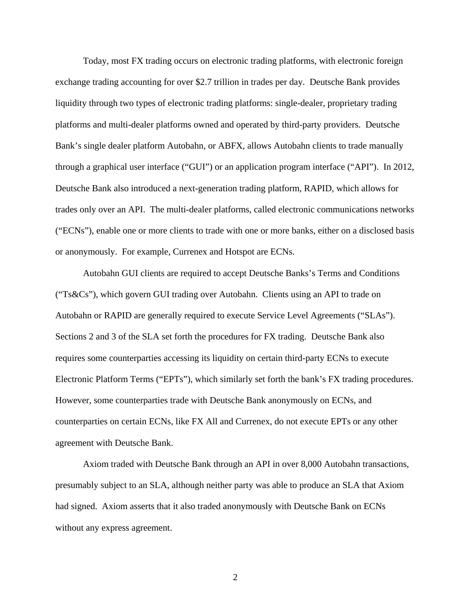Today, most FX trading occurs on electronic trading platforms, with electronic foreign exchange trading accounting for over \$2.7 trillion in trades per day. Deutsche Bank provides liquidity through two types of electronic trading platforms: single-dealer, proprietary trading platforms and multi-dealer platforms owned and operated by third-party providers. Deutsche Bank's single dealer platform Autobahn, or ABFX, allows Autobahn clients to trade manually through a graphical user interface ("GUI") or an application program interface ("API"). In 2012, Deutsche Bank also introduced a next-generation trading platform, RAPID, which allows for trades only over an API. The multi-dealer platforms, called electronic communications networks ("ECNs"), enable one or more clients to trade with one or more banks, either on a disclosed basis or anonymously. For example, Currenex and Hotspot are ECNs.

Autobahn GUI clients are required to accept Deutsche Banks's Terms and Conditions ("Ts&Cs"), which govern GUI trading over Autobahn. Clients using an API to trade on Autobahn or RAPID are generally required to execute Service Level Agreements ("SLAs"). Sections 2 and 3 of the SLA set forth the procedures for FX trading. Deutsche Bank also requires some counterparties accessing its liquidity on certain third-party ECNs to execute Electronic Platform Terms ("EPTs"), which similarly set forth the bank's FX trading procedures. However, some counterparties trade with Deutsche Bank anonymously on ECNs, and counterparties on certain ECNs, like FX All and Currenex, do not execute EPTs or any other agreement with Deutsche Bank.

Axiom traded with Deutsche Bank through an API in over 8,000 Autobahn transactions, presumably subject to an SLA, although neither party was able to produce an SLA that Axiom had signed. Axiom asserts that it also traded anonymously with Deutsche Bank on ECNs without any express agreement.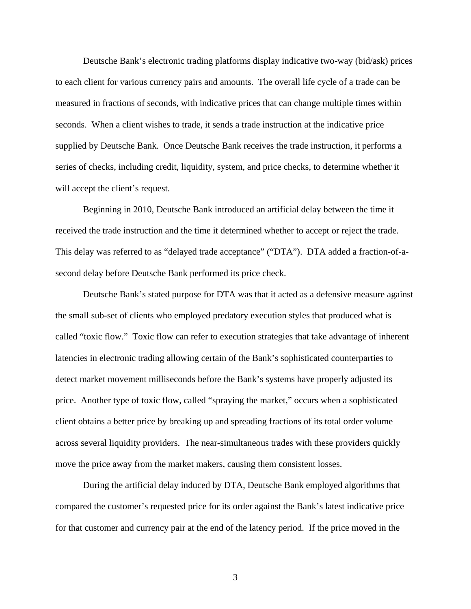Deutsche Bank's electronic trading platforms display indicative two-way (bid/ask) prices to each client for various currency pairs and amounts. The overall life cycle of a trade can be measured in fractions of seconds, with indicative prices that can change multiple times within seconds. When a client wishes to trade, it sends a trade instruction at the indicative price supplied by Deutsche Bank. Once Deutsche Bank receives the trade instruction, it performs a series of checks, including credit, liquidity, system, and price checks, to determine whether it will accept the client's request.

Beginning in 2010, Deutsche Bank introduced an artificial delay between the time it received the trade instruction and the time it determined whether to accept or reject the trade. This delay was referred to as "delayed trade acceptance" ("DTA"). DTA added a fraction-of-asecond delay before Deutsche Bank performed its price check.

Deutsche Bank's stated purpose for DTA was that it acted as a defensive measure against the small sub-set of clients who employed predatory execution styles that produced what is called "toxic flow." Toxic flow can refer to execution strategies that take advantage of inherent latencies in electronic trading allowing certain of the Bank's sophisticated counterparties to detect market movement milliseconds before the Bank's systems have properly adjusted its price. Another type of toxic flow, called "spraying the market," occurs when a sophisticated client obtains a better price by breaking up and spreading fractions of its total order volume across several liquidity providers. The near-simultaneous trades with these providers quickly move the price away from the market makers, causing them consistent losses.

During the artificial delay induced by DTA, Deutsche Bank employed algorithms that compared the customer's requested price for its order against the Bank's latest indicative price for that customer and currency pair at the end of the latency period. If the price moved in the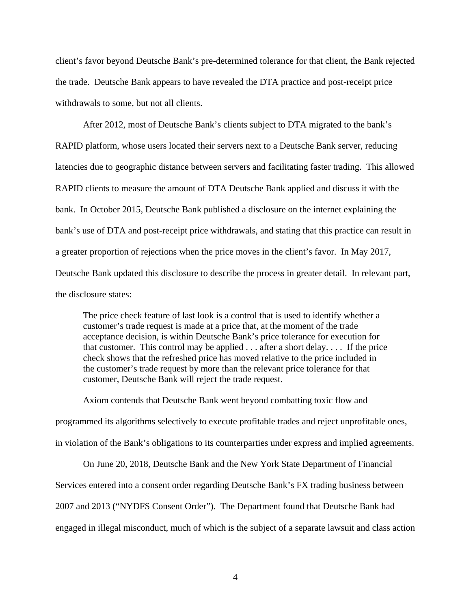client's favor beyond Deutsche Bank's pre-determined tolerance for that client, the Bank rejected the trade. Deutsche Bank appears to have revealed the DTA practice and post-receipt price withdrawals to some, but not all clients.

After 2012, most of Deutsche Bank's clients subject to DTA migrated to the bank's RAPID platform, whose users located their servers next to a Deutsche Bank server, reducing latencies due to geographic distance between servers and facilitating faster trading. This allowed RAPID clients to measure the amount of DTA Deutsche Bank applied and discuss it with the bank. In October 2015, Deutsche Bank published a disclosure on the internet explaining the bank's use of DTA and post-receipt price withdrawals, and stating that this practice can result in a greater proportion of rejections when the price moves in the client's favor. In May 2017, Deutsche Bank updated this disclosure to describe the process in greater detail. In relevant part, the disclosure states:

The price check feature of last look is a control that is used to identify whether a customer's trade request is made at a price that, at the moment of the trade acceptance decision, is within Deutsche Bank's price tolerance for execution for that customer. This control may be applied . . . after a short delay. . . . If the price check shows that the refreshed price has moved relative to the price included in the customer's trade request by more than the relevant price tolerance for that customer, Deutsche Bank will reject the trade request.

Axiom contends that Deutsche Bank went beyond combatting toxic flow and programmed its algorithms selectively to execute profitable trades and reject unprofitable ones, in violation of the Bank's obligations to its counterparties under express and implied agreements.

On June 20, 2018, Deutsche Bank and the New York State Department of Financial Services entered into a consent order regarding Deutsche Bank's FX trading business between 2007 and 2013 ("NYDFS Consent Order"). The Department found that Deutsche Bank had engaged in illegal misconduct, much of which is the subject of a separate lawsuit and class action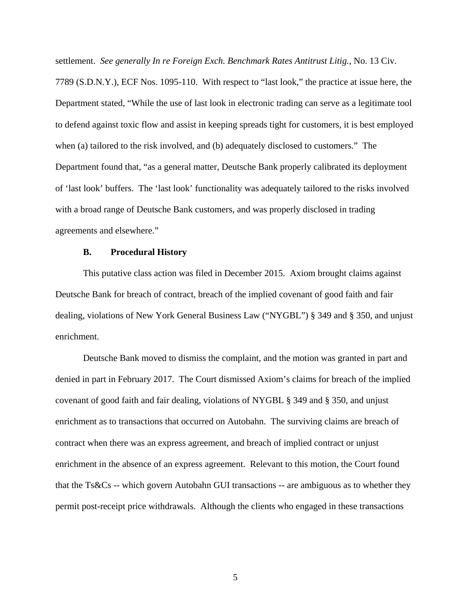settlement. *See generally In re Foreign Exch. Benchmark Rates Antitrust Litig.*, No. 13 Civ. 7789 (S.D.N.Y.), ECF Nos. 1095-110. With respect to "last look," the practice at issue here, the Department stated, "While the use of last look in electronic trading can serve as a legitimate tool to defend against toxic flow and assist in keeping spreads tight for customers, it is best employed when (a) tailored to the risk involved, and (b) adequately disclosed to customers." The Department found that, "as a general matter, Deutsche Bank properly calibrated its deployment of 'last look' buffers. The 'last look' functionality was adequately tailored to the risks involved with a broad range of Deutsche Bank customers, and was properly disclosed in trading agreements and elsewhere."

### **B. Procedural History**

This putative class action was filed in December 2015. Axiom brought claims against Deutsche Bank for breach of contract, breach of the implied covenant of good faith and fair dealing, violations of New York General Business Law ("NYGBL") § 349 and § 350, and unjust enrichment.

Deutsche Bank moved to dismiss the complaint, and the motion was granted in part and denied in part in February 2017. The Court dismissed Axiom's claims for breach of the implied covenant of good faith and fair dealing, violations of NYGBL § 349 and § 350, and unjust enrichment as to transactions that occurred on Autobahn. The surviving claims are breach of contract when there was an express agreement, and breach of implied contract or unjust enrichment in the absence of an express agreement. Relevant to this motion, the Court found that the Ts&Cs -- which govern Autobahn GUI transactions -- are ambiguous as to whether they permit post-receipt price withdrawals. Although the clients who engaged in these transactions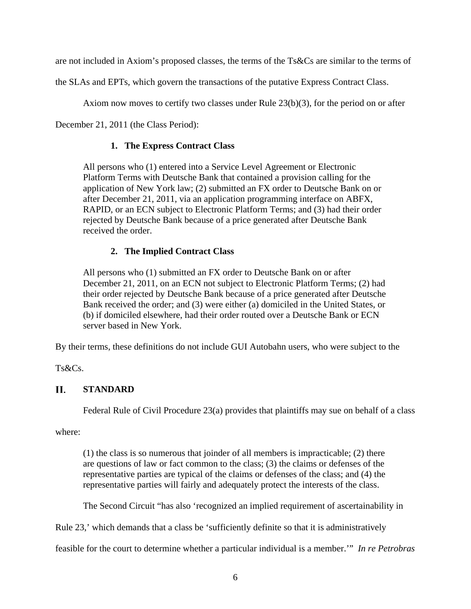are not included in Axiom's proposed classes, the terms of the Ts&Cs are similar to the terms of

the SLAs and EPTs, which govern the transactions of the putative Express Contract Class.

Axiom now moves to certify two classes under Rule 23(b)(3), for the period on or after

December 21, 2011 (the Class Period):

## **1. The Express Contract Class**

All persons who (1) entered into a Service Level Agreement or Electronic Platform Terms with Deutsche Bank that contained a provision calling for the application of New York law; (2) submitted an FX order to Deutsche Bank on or after December 21, 2011, via an application programming interface on ABFX, RAPID, or an ECN subject to Electronic Platform Terms; and (3) had their order rejected by Deutsche Bank because of a price generated after Deutsche Bank received the order.

# **2. The Implied Contract Class**

All persons who (1) submitted an FX order to Deutsche Bank on or after December 21, 2011, on an ECN not subject to Electronic Platform Terms; (2) had their order rejected by Deutsche Bank because of a price generated after Deutsche Bank received the order; and (3) were either (a) domiciled in the United States, or (b) if domiciled elsewhere, had their order routed over a Deutsche Bank or ECN server based in New York.

By their terms, these definitions do not include GUI Autobahn users, who were subject to the

Ts&Cs.

### П. **STANDARD**

Federal Rule of Civil Procedure 23(a) provides that plaintiffs may sue on behalf of a class

where:

(1) the class is so numerous that joinder of all members is impracticable; (2) there are questions of law or fact common to the class; (3) the claims or defenses of the representative parties are typical of the claims or defenses of the class; and (4) the representative parties will fairly and adequately protect the interests of the class.

The Second Circuit "has also 'recognized an implied requirement of ascertainability in

Rule 23,' which demands that a class be 'sufficiently definite so that it is administratively

feasible for the court to determine whether a particular individual is a member.'" *In re Petrobras*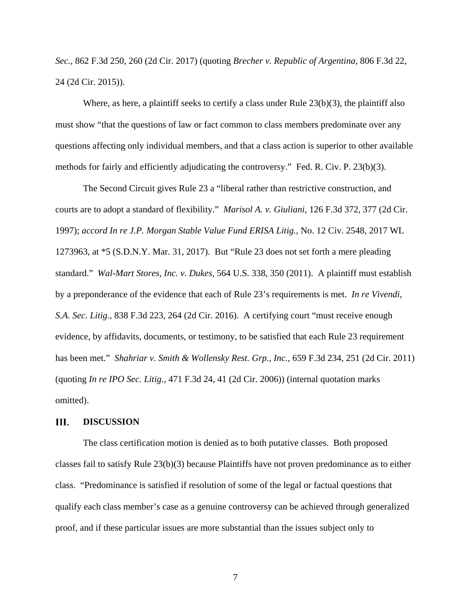*Sec.*, 862 F.3d 250, 260 (2d Cir. 2017) (quoting *Brecher v. Republic of Argentina*, 806 F.3d 22, 24 (2d Cir. 2015)).

Where, as here, a plaintiff seeks to certify a class under Rule  $23(b)(3)$ , the plaintiff also must show "that the questions of law or fact common to class members predominate over any questions affecting only individual members, and that a class action is superior to other available methods for fairly and efficiently adjudicating the controversy." Fed. R. Civ. P. 23(b)(3).

The Second Circuit gives Rule 23 a "liberal rather than restrictive construction, and courts are to adopt a standard of flexibility." *Marisol A. v. Giuliani*, 126 F.3d 372, 377 (2d Cir. 1997); *accord In re J.P. Morgan Stable Value Fund ERISA Litig.*, No. 12 Civ. 2548, 2017 WL 1273963, at \*5 (S.D.N.Y. Mar. 31, 2017). But "Rule 23 does not set forth a mere pleading standard." *Wal-Mart Stores*, *Inc. v. Dukes*, 564 U.S. 338, 350 (2011). A plaintiff must establish by a preponderance of the evidence that each of Rule 23's requirements is met. *In re Vivendi, S.A. Sec. Litig.*, 838 F.3d 223, 264 (2d Cir. 2016). A certifying court "must receive enough evidence, by affidavits, documents, or testimony, to be satisfied that each Rule 23 requirement has been met." *Shahriar v. Smith & Wollensky Rest. Grp., Inc.*, 659 F.3d 234, 251 (2d Cir. 2011) (quoting *In re IPO Sec. Litig.*, 471 F.3d 24, 41 (2d Cir. 2006)) (internal quotation marks omitted).

#### III. **DISCUSSION**

The class certification motion is denied as to both putative classes. Both proposed classes fail to satisfy Rule 23(b)(3) because Plaintiffs have not proven predominance as to either class. "Predominance is satisfied if resolution of some of the legal or factual questions that qualify each class member's case as a genuine controversy can be achieved through generalized proof, and if these particular issues are more substantial than the issues subject only to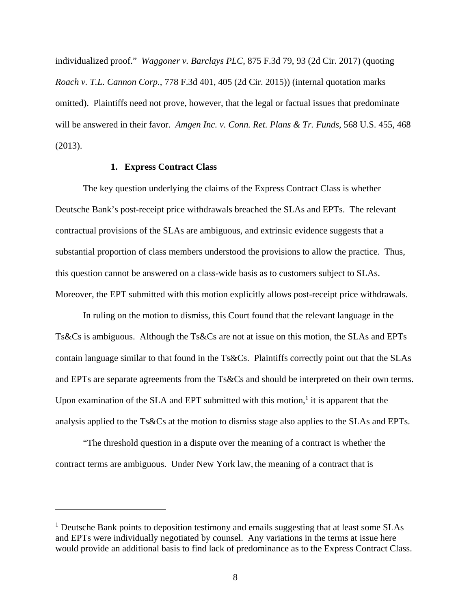individualized proof." *Waggoner v. Barclays PLC*, 875 F.3d 79, 93 (2d Cir. 2017) (quoting *Roach v. T.L. Cannon Corp.*, 778 F.3d 401, 405 (2d Cir. 2015)) (internal quotation marks omitted). Plaintiffs need not prove, however, that the legal or factual issues that predominate will be answered in their favor. *Amgen Inc. v. Conn. Ret. Plans & Tr. Funds*, 568 U.S. 455, 468 (2013).

## **1. Express Contract Class**

The key question underlying the claims of the Express Contract Class is whether Deutsche Bank's post-receipt price withdrawals breached the SLAs and EPTs. The relevant contractual provisions of the SLAs are ambiguous, and extrinsic evidence suggests that a substantial proportion of class members understood the provisions to allow the practice. Thus, this question cannot be answered on a class-wide basis as to customers subject to SLAs. Moreover, the EPT submitted with this motion explicitly allows post-receipt price withdrawals.

In ruling on the motion to dismiss, this Court found that the relevant language in the Ts&Cs is ambiguous. Although the Ts&Cs are not at issue on this motion, the SLAs and EPTs contain language similar to that found in the Ts&Cs. Plaintiffs correctly point out that the SLAs and EPTs are separate agreements from the Ts&Cs and should be interpreted on their own terms. Upon examination of the SLA and EPT submitted with this motion, $<sup>1</sup>$  it is apparent that the</sup> analysis applied to the Ts&Cs at the motion to dismiss stage also applies to the SLAs and EPTs.

"The threshold question in a dispute over the meaning of a contract is whether the contract terms are ambiguous. Under New York law, the meaning of a contract that is

<sup>&</sup>lt;sup>1</sup> Deutsche Bank points to deposition testimony and emails suggesting that at least some SLAs and EPTs were individually negotiated by counsel. Any variations in the terms at issue here would provide an additional basis to find lack of predominance as to the Express Contract Class.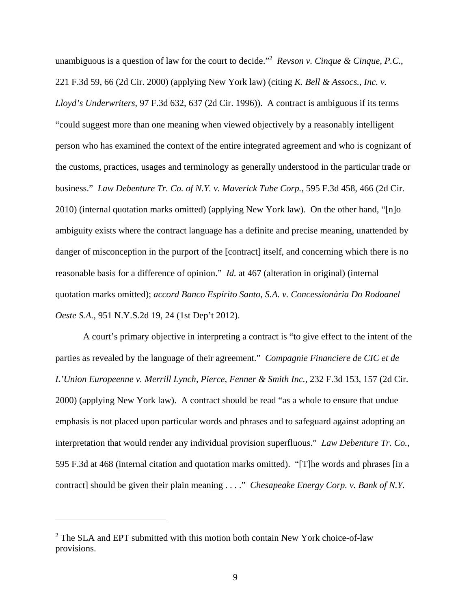unambiguous is a question of law for the court to decide."2 *Revson v. Cinque & Cinque, P.C.*, 221 F.3d 59, 66 (2d Cir. 2000) (applying New York law) (citing *K. Bell & Assocs., Inc. v. Lloyd's Underwriters*, 97 F.3d 632, 637 (2d Cir. 1996)). A contract is ambiguous if its terms "could suggest more than one meaning when viewed objectively by a reasonably intelligent person who has examined the context of the entire integrated agreement and who is cognizant of the customs, practices, usages and terminology as generally understood in the particular trade or business." *Law Debenture Tr. Co. of N.Y. v. Maverick Tube Corp.*, 595 F.3d 458, 466 (2d Cir. 2010) (internal quotation marks omitted) (applying New York law). On the other hand, "[n]o ambiguity exists where the contract language has a definite and precise meaning, unattended by danger of misconception in the purport of the [contract] itself, and concerning which there is no reasonable basis for a difference of opinion." *Id.* at 467 (alteration in original) (internal quotation marks omitted); *accord Banco Espírito Santo, S.A. v. Concessionária Do Rodoanel Oeste S.A.*, 951 N.Y.S.2d 19, 24 (1st Dep't 2012).

A court's primary objective in interpreting a contract is "to give effect to the intent of the parties as revealed by the language of their agreement." *Compagnie Financiere de CIC et de L'Union Europeenne v. Merrill Lynch, Pierce, Fenner & Smith Inc.*, 232 F.3d 153, 157 (2d Cir. 2000) (applying New York law). A contract should be read "as a whole to ensure that undue emphasis is not placed upon particular words and phrases and to safeguard against adopting an interpretation that would render any individual provision superfluous." *Law Debenture Tr. Co.*, 595 F.3d at 468 (internal citation and quotation marks omitted). "[T]he words and phrases [in a contract] should be given their plain meaning . . . ." *Chesapeake Energy Corp. v. Bank of N.Y.* 

<sup>&</sup>lt;sup>2</sup> The SLA and EPT submitted with this motion both contain New York choice-of-law provisions.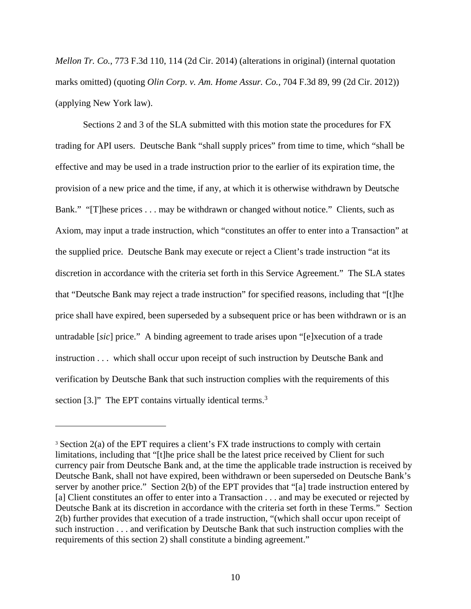*Mellon Tr. Co.*, 773 F.3d 110, 114 (2d Cir. 2014) (alterations in original) (internal quotation marks omitted) (quoting *Olin Corp. v. Am. Home Assur. Co.*, 704 F.3d 89, 99 (2d Cir. 2012)) (applying New York law).

Sections 2 and 3 of the SLA submitted with this motion state the procedures for FX trading for API users. Deutsche Bank "shall supply prices" from time to time, which "shall be effective and may be used in a trade instruction prior to the earlier of its expiration time, the provision of a new price and the time, if any, at which it is otherwise withdrawn by Deutsche Bank." "[T]hese prices . . . may be withdrawn or changed without notice." Clients, such as Axiom, may input a trade instruction, which "constitutes an offer to enter into a Transaction" at the supplied price. Deutsche Bank may execute or reject a Client's trade instruction "at its discretion in accordance with the criteria set forth in this Service Agreement." The SLA states that "Deutsche Bank may reject a trade instruction" for specified reasons, including that "[t]he price shall have expired, been superseded by a subsequent price or has been withdrawn or is an untradable [*sic*] price." A binding agreement to trade arises upon "[e]xecution of a trade instruction . . . which shall occur upon receipt of such instruction by Deutsche Bank and verification by Deutsche Bank that such instruction complies with the requirements of this section [3.]" The EPT contains virtually identical terms.<sup>3</sup>

<sup>3</sup> Section 2(a) of the EPT requires a client's FX trade instructions to comply with certain limitations, including that "[t]he price shall be the latest price received by Client for such currency pair from Deutsche Bank and, at the time the applicable trade instruction is received by Deutsche Bank, shall not have expired, been withdrawn or been superseded on Deutsche Bank's server by another price." Section 2(b) of the EPT provides that "[a] trade instruction entered by [a] Client constitutes an offer to enter into a Transaction . . . and may be executed or rejected by Deutsche Bank at its discretion in accordance with the criteria set forth in these Terms." Section 2(b) further provides that execution of a trade instruction, "(which shall occur upon receipt of such instruction . . . and verification by Deutsche Bank that such instruction complies with the requirements of this section 2) shall constitute a binding agreement."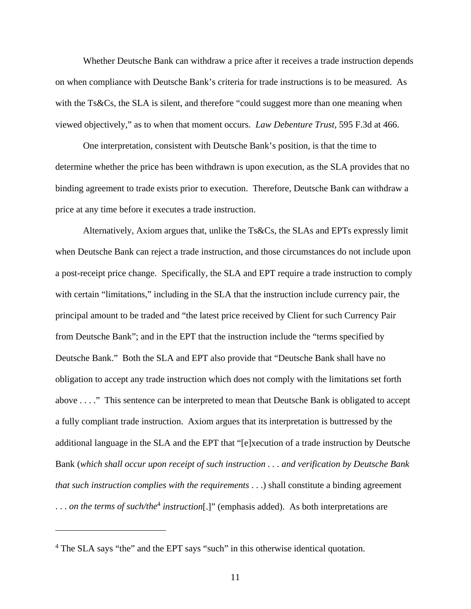Whether Deutsche Bank can withdraw a price after it receives a trade instruction depends on when compliance with Deutsche Bank's criteria for trade instructions is to be measured. As with the Ts&Cs, the SLA is silent, and therefore "could suggest more than one meaning when viewed objectively," as to when that moment occurs. *Law Debenture Trust*, 595 F.3d at 466.

One interpretation, consistent with Deutsche Bank's position, is that the time to determine whether the price has been withdrawn is upon execution, as the SLA provides that no binding agreement to trade exists prior to execution. Therefore, Deutsche Bank can withdraw a price at any time before it executes a trade instruction.

Alternatively, Axiom argues that, unlike the Ts&Cs, the SLAs and EPTs expressly limit when Deutsche Bank can reject a trade instruction, and those circumstances do not include upon a post-receipt price change. Specifically, the SLA and EPT require a trade instruction to comply with certain "limitations," including in the SLA that the instruction include currency pair, the principal amount to be traded and "the latest price received by Client for such Currency Pair from Deutsche Bank"; and in the EPT that the instruction include the "terms specified by Deutsche Bank." Both the SLA and EPT also provide that "Deutsche Bank shall have no obligation to accept any trade instruction which does not comply with the limitations set forth above . . . ." This sentence can be interpreted to mean that Deutsche Bank is obligated to accept a fully compliant trade instruction. Axiom argues that its interpretation is buttressed by the additional language in the SLA and the EPT that "[e]xecution of a trade instruction by Deutsche Bank (*which shall occur upon receipt of such instruction . . . and verification by Deutsche Bank that such instruction complies with the requirements* . . .) shall constitute a binding agreement ... *on the terms of such/the<sup>4</sup> instruction*[.]" (emphasis added). As both interpretations are

<sup>&</sup>lt;sup>4</sup> The SLA says "the" and the EPT says "such" in this otherwise identical quotation.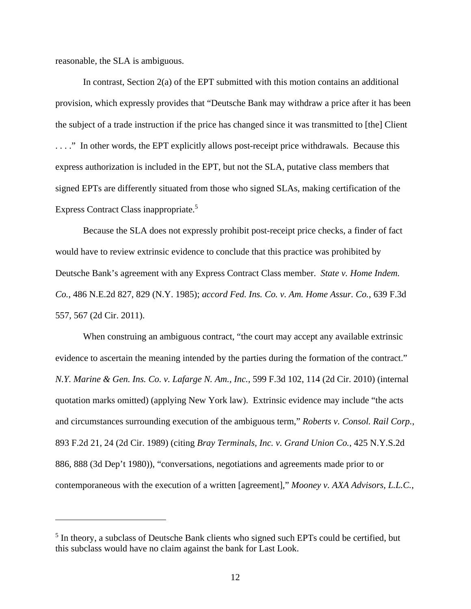reasonable, the SLA is ambiguous.

 $\overline{a}$ 

In contrast, Section 2(a) of the EPT submitted with this motion contains an additional provision, which expressly provides that "Deutsche Bank may withdraw a price after it has been the subject of a trade instruction if the price has changed since it was transmitted to [the] Client . . . ." In other words, the EPT explicitly allows post-receipt price withdrawals. Because this express authorization is included in the EPT, but not the SLA, putative class members that signed EPTs are differently situated from those who signed SLAs, making certification of the Express Contract Class inappropriate.<sup>5</sup>

Because the SLA does not expressly prohibit post-receipt price checks, a finder of fact would have to review extrinsic evidence to conclude that this practice was prohibited by Deutsche Bank's agreement with any Express Contract Class member. *State v. Home Indem. Co.*, 486 N.E.2d 827, 829 (N.Y. 1985); *accord Fed. Ins. Co. v. Am. Home Assur. Co.*, 639 F.3d 557, 567 (2d Cir. 2011).

When construing an ambiguous contract, "the court may accept any available extrinsic evidence to ascertain the meaning intended by the parties during the formation of the contract." *N.Y. Marine & Gen. Ins. Co. v. Lafarge N. Am., Inc.*, 599 F.3d 102, 114 (2d Cir. 2010) (internal quotation marks omitted) (applying New York law). Extrinsic evidence may include "the acts and circumstances surrounding execution of the ambiguous term," *Roberts v. Consol. Rail Corp.*, 893 F.2d 21, 24 (2d Cir. 1989) (citing *Bray Terminals, Inc. v. Grand Union Co.*, 425 N.Y.S.2d 886, 888 (3d Dep't 1980)), "conversations, negotiations and agreements made prior to or contemporaneous with the execution of a written [agreement]," *Mooney v. AXA Advisors, L.L.C.*,

<sup>&</sup>lt;sup>5</sup> In theory, a subclass of Deutsche Bank clients who signed such EPTs could be certified, but this subclass would have no claim against the bank for Last Look.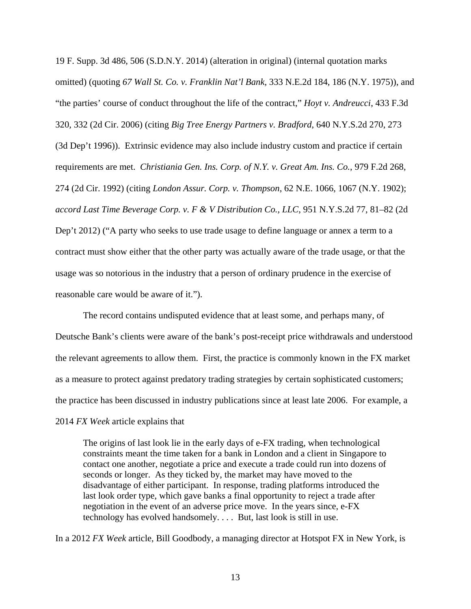19 F. Supp. 3d 486, 506 (S.D.N.Y. 2014) (alteration in original) (internal quotation marks omitted) (quoting *67 Wall St. Co. v. Franklin Nat'l Bank*, 333 N.E.2d 184, 186 (N.Y. 1975)), and "the parties' course of conduct throughout the life of the contract," *Hoyt v. Andreucci*, 433 F.3d 320, 332 (2d Cir. 2006) (citing *Big Tree Energy Partners v. Bradford*, 640 N.Y.S.2d 270, 273 (3d Dep't 1996)). Extrinsic evidence may also include industry custom and practice if certain requirements are met. *Christiania Gen. Ins. Corp. of N.Y. v. Great Am. Ins. Co.*, 979 F.2d 268, 274 (2d Cir. 1992) (citing *London Assur. Corp. v. Thompson*, 62 N.E. 1066, 1067 (N.Y. 1902); *accord Last Time Beverage Corp. v. F & V Distribution Co., LLC*, 951 N.Y.S.2d 77, 81–82 (2d Dep't 2012) ("A party who seeks to use trade usage to define language or annex a term to a contract must show either that the other party was actually aware of the trade usage, or that the usage was so notorious in the industry that a person of ordinary prudence in the exercise of reasonable care would be aware of it.").

The record contains undisputed evidence that at least some, and perhaps many, of Deutsche Bank's clients were aware of the bank's post-receipt price withdrawals and understood the relevant agreements to allow them. First, the practice is commonly known in the FX market as a measure to protect against predatory trading strategies by certain sophisticated customers; the practice has been discussed in industry publications since at least late 2006. For example, a 2014 *FX Week* article explains that

The origins of last look lie in the early days of e-FX trading, when technological constraints meant the time taken for a bank in London and a client in Singapore to contact one another, negotiate a price and execute a trade could run into dozens of seconds or longer. As they ticked by, the market may have moved to the disadvantage of either participant. In response, trading platforms introduced the last look order type, which gave banks a final opportunity to reject a trade after negotiation in the event of an adverse price move. In the years since, e-FX technology has evolved handsomely. . . . But, last look is still in use.

In a 2012 *FX Week* article, Bill Goodbody, a managing director at Hotspot FX in New York, is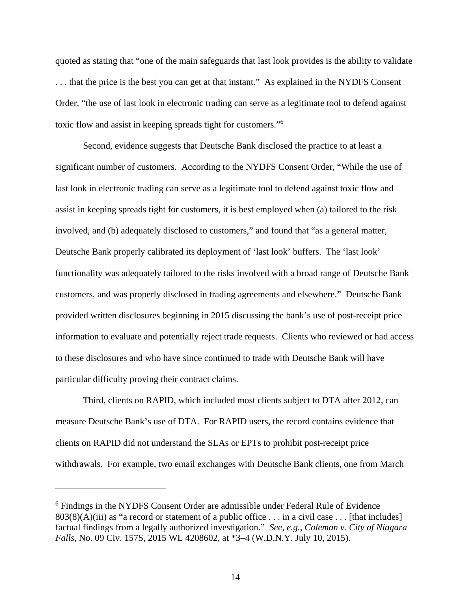quoted as stating that "one of the main safeguards that last look provides is the ability to validate . . . that the price is the best you can get at that instant." As explained in the NYDFS Consent Order, "the use of last look in electronic trading can serve as a legitimate tool to defend against toxic flow and assist in keeping spreads tight for customers."6

Second, evidence suggests that Deutsche Bank disclosed the practice to at least a significant number of customers. According to the NYDFS Consent Order, "While the use of last look in electronic trading can serve as a legitimate tool to defend against toxic flow and assist in keeping spreads tight for customers, it is best employed when (a) tailored to the risk involved, and (b) adequately disclosed to customers," and found that "as a general matter, Deutsche Bank properly calibrated its deployment of 'last look' buffers. The 'last look' functionality was adequately tailored to the risks involved with a broad range of Deutsche Bank customers, and was properly disclosed in trading agreements and elsewhere." Deutsche Bank provided written disclosures beginning in 2015 discussing the bank's use of post-receipt price information to evaluate and potentially reject trade requests. Clients who reviewed or had access to these disclosures and who have since continued to trade with Deutsche Bank will have particular difficulty proving their contract claims.

Third, clients on RAPID, which included most clients subject to DTA after 2012, can measure Deutsche Bank's use of DTA. For RAPID users, the record contains evidence that clients on RAPID did not understand the SLAs or EPTs to prohibit post-receipt price withdrawals. For example, two email exchanges with Deutsche Bank clients, one from March

 $\overline{a}$ 

<sup>&</sup>lt;sup>6</sup> Findings in the NYDFS Consent Order are admissible under Federal Rule of Evidence  $803(8)(A)(iii)$  as "a record or statement of a public office ... in a civil case ... [that includes] factual findings from a legally authorized investigation." *See, e.g.*, *Coleman v. City of Niagara Falls*, No. 09 Civ. 157S, 2015 WL 4208602, at \*3–4 (W.D.N.Y. July 10, 2015).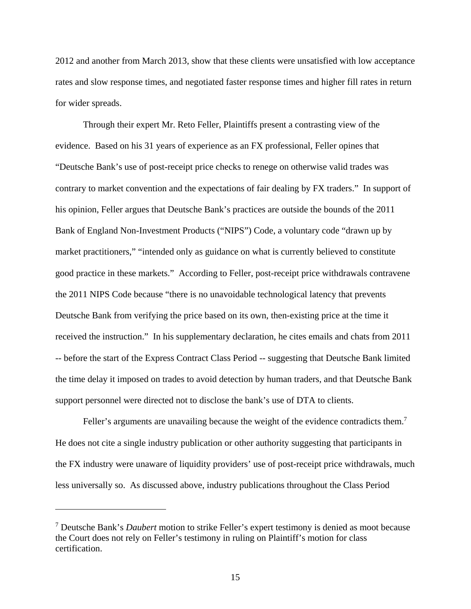2012 and another from March 2013, show that these clients were unsatisfied with low acceptance rates and slow response times, and negotiated faster response times and higher fill rates in return for wider spreads.

Through their expert Mr. Reto Feller, Plaintiffs present a contrasting view of the evidence. Based on his 31 years of experience as an FX professional, Feller opines that "Deutsche Bank's use of post-receipt price checks to renege on otherwise valid trades was contrary to market convention and the expectations of fair dealing by FX traders." In support of his opinion, Feller argues that Deutsche Bank's practices are outside the bounds of the 2011 Bank of England Non-Investment Products ("NIPS") Code, a voluntary code "drawn up by market practitioners," "intended only as guidance on what is currently believed to constitute good practice in these markets." According to Feller, post-receipt price withdrawals contravene the 2011 NIPS Code because "there is no unavoidable technological latency that prevents Deutsche Bank from verifying the price based on its own, then-existing price at the time it received the instruction." In his supplementary declaration, he cites emails and chats from 2011 -- before the start of the Express Contract Class Period -- suggesting that Deutsche Bank limited the time delay it imposed on trades to avoid detection by human traders, and that Deutsche Bank support personnel were directed not to disclose the bank's use of DTA to clients.

Feller's arguments are unavailing because the weight of the evidence contradicts them.<sup>7</sup> He does not cite a single industry publication or other authority suggesting that participants in the FX industry were unaware of liquidity providers' use of post-receipt price withdrawals, much less universally so. As discussed above, industry publications throughout the Class Period

<sup>7</sup> Deutsche Bank's *Daubert* motion to strike Feller's expert testimony is denied as moot because the Court does not rely on Feller's testimony in ruling on Plaintiff's motion for class certification.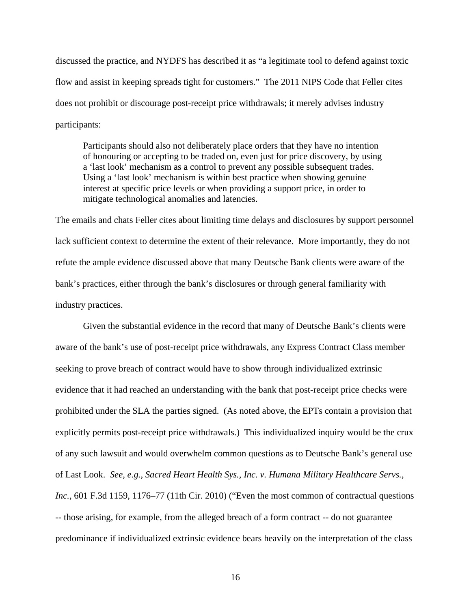discussed the practice, and NYDFS has described it as "a legitimate tool to defend against toxic flow and assist in keeping spreads tight for customers." The 2011 NIPS Code that Feller cites does not prohibit or discourage post-receipt price withdrawals; it merely advises industry participants:

Participants should also not deliberately place orders that they have no intention of honouring or accepting to be traded on, even just for price discovery, by using a 'last look' mechanism as a control to prevent any possible subsequent trades. Using a 'last look' mechanism is within best practice when showing genuine interest at specific price levels or when providing a support price, in order to mitigate technological anomalies and latencies.

The emails and chats Feller cites about limiting time delays and disclosures by support personnel lack sufficient context to determine the extent of their relevance. More importantly, they do not refute the ample evidence discussed above that many Deutsche Bank clients were aware of the bank's practices, either through the bank's disclosures or through general familiarity with industry practices.

Given the substantial evidence in the record that many of Deutsche Bank's clients were aware of the bank's use of post-receipt price withdrawals, any Express Contract Class member seeking to prove breach of contract would have to show through individualized extrinsic evidence that it had reached an understanding with the bank that post-receipt price checks were prohibited under the SLA the parties signed. (As noted above, the EPTs contain a provision that explicitly permits post-receipt price withdrawals.) This individualized inquiry would be the crux of any such lawsuit and would overwhelm common questions as to Deutsche Bank's general use of Last Look. *See, e.g.*, *Sacred Heart Health Sys., Inc. v. Humana Military Healthcare Servs., Inc.*, 601 F.3d 1159, 1176–77 (11th Cir. 2010) ("Even the most common of contractual questions -- those arising, for example, from the alleged breach of a form contract -- do not guarantee predominance if individualized extrinsic evidence bears heavily on the interpretation of the class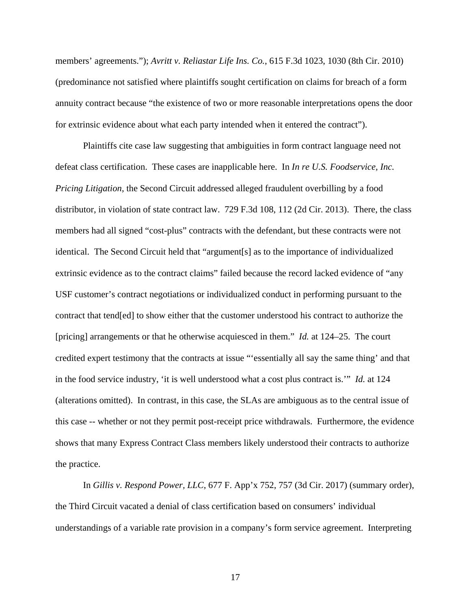members' agreements."); *Avritt v. Reliastar Life Ins. Co.*, 615 F.3d 1023, 1030 (8th Cir. 2010) (predominance not satisfied where plaintiffs sought certification on claims for breach of a form annuity contract because "the existence of two or more reasonable interpretations opens the door for extrinsic evidence about what each party intended when it entered the contract").

Plaintiffs cite case law suggesting that ambiguities in form contract language need not defeat class certification. These cases are inapplicable here. In *In re U.S. Foodservice, Inc. Pricing Litigation*, the Second Circuit addressed alleged fraudulent overbilling by a food distributor, in violation of state contract law. 729 F.3d 108, 112 (2d Cir. 2013). There, the class members had all signed "cost-plus" contracts with the defendant, but these contracts were not identical. The Second Circuit held that "argument[s] as to the importance of individualized extrinsic evidence as to the contract claims" failed because the record lacked evidence of "any USF customer's contract negotiations or individualized conduct in performing pursuant to the contract that tend[ed] to show either that the customer understood his contract to authorize the [pricing] arrangements or that he otherwise acquiesced in them." *Id.* at 124–25. The court credited expert testimony that the contracts at issue "'essentially all say the same thing' and that in the food service industry, 'it is well understood what a cost plus contract is.'" *Id.* at 124 (alterations omitted). In contrast, in this case, the SLAs are ambiguous as to the central issue of this case -- whether or not they permit post-receipt price withdrawals. Furthermore, the evidence shows that many Express Contract Class members likely understood their contracts to authorize the practice.

In *Gillis v. Respond Power, LLC*, 677 F. App'x 752, 757 (3d Cir. 2017) (summary order), the Third Circuit vacated a denial of class certification based on consumers' individual understandings of a variable rate provision in a company's form service agreement. Interpreting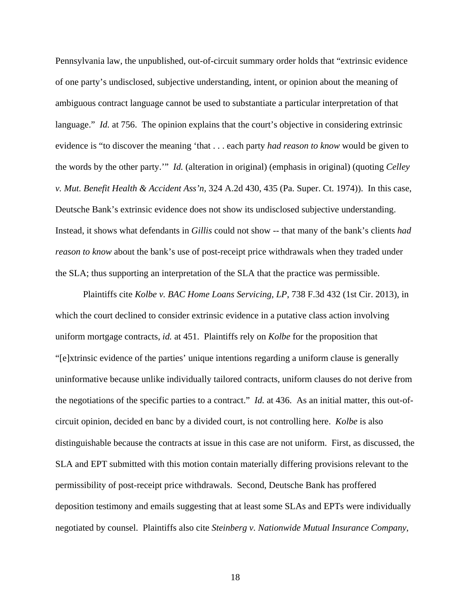Pennsylvania law, the unpublished, out-of-circuit summary order holds that "extrinsic evidence of one party's undisclosed, subjective understanding, intent, or opinion about the meaning of ambiguous contract language cannot be used to substantiate a particular interpretation of that language." *Id.* at 756. The opinion explains that the court's objective in considering extrinsic evidence is "to discover the meaning 'that . . . each party *had reason to know* would be given to the words by the other party.'" *Id.* (alteration in original) (emphasis in original) (quoting *Celley v. Mut. Benefit Health & Accident Ass'n*, 324 A.2d 430, 435 (Pa. Super. Ct. 1974)). In this case, Deutsche Bank's extrinsic evidence does not show its undisclosed subjective understanding. Instead, it shows what defendants in *Gillis* could not show -- that many of the bank's clients *had reason to know* about the bank's use of post-receipt price withdrawals when they traded under the SLA; thus supporting an interpretation of the SLA that the practice was permissible.

Plaintiffs cite *Kolbe v. BAC Home Loans Servicing, LP*, 738 F.3d 432 (1st Cir. 2013), in which the court declined to consider extrinsic evidence in a putative class action involving uniform mortgage contracts, *id.* at 451. Plaintiffs rely on *Kolbe* for the proposition that "[e]xtrinsic evidence of the parties' unique intentions regarding a uniform clause is generally uninformative because unlike individually tailored contracts, uniform clauses do not derive from the negotiations of the specific parties to a contract." *Id.* at 436. As an initial matter, this out-ofcircuit opinion, decided en banc by a divided court, is not controlling here. *Kolbe* is also distinguishable because the contracts at issue in this case are not uniform. First, as discussed, the SLA and EPT submitted with this motion contain materially differing provisions relevant to the permissibility of post-receipt price withdrawals. Second, Deutsche Bank has proffered deposition testimony and emails suggesting that at least some SLAs and EPTs were individually negotiated by counsel. Plaintiffs also cite *Steinberg v. Nationwide Mutual Insurance Company*,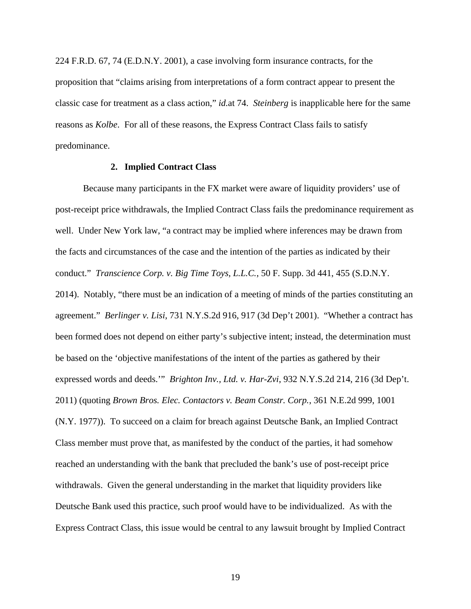224 F.R.D. 67, 74 (E.D.N.Y. 2001), a case involving form insurance contracts, for the proposition that "claims arising from interpretations of a form contract appear to present the classic case for treatment as a class action," *id.*at 74. *Steinberg* is inapplicable here for the same reasons as *Kolbe*. For all of these reasons, the Express Contract Class fails to satisfy predominance.

## **2. Implied Contract Class**

Because many participants in the FX market were aware of liquidity providers' use of post-receipt price withdrawals, the Implied Contract Class fails the predominance requirement as well. Under New York law, "a contract may be implied where inferences may be drawn from the facts and circumstances of the case and the intention of the parties as indicated by their conduct." *Transcience Corp. v. Big Time Toys, L.L.C.*, 50 F. Supp. 3d 441, 455 (S.D.N.Y. 2014). Notably, "there must be an indication of a meeting of minds of the parties constituting an agreement." *Berlinger v. Lisi*, 731 N.Y.S.2d 916, 917 (3d Dep't 2001). "Whether a contract has been formed does not depend on either party's subjective intent; instead, the determination must be based on the 'objective manifestations of the intent of the parties as gathered by their expressed words and deeds.'" *Brighton Inv., Ltd. v. Har-Zvi*, 932 N.Y.S.2d 214, 216 (3d Dep't. 2011) (quoting *Brown Bros. Elec. Contactors v. Beam Constr. Corp.*, 361 N.E.2d 999, 1001 (N.Y. 1977)). To succeed on a claim for breach against Deutsche Bank, an Implied Contract Class member must prove that, as manifested by the conduct of the parties, it had somehow reached an understanding with the bank that precluded the bank's use of post-receipt price withdrawals. Given the general understanding in the market that liquidity providers like Deutsche Bank used this practice, such proof would have to be individualized. As with the Express Contract Class, this issue would be central to any lawsuit brought by Implied Contract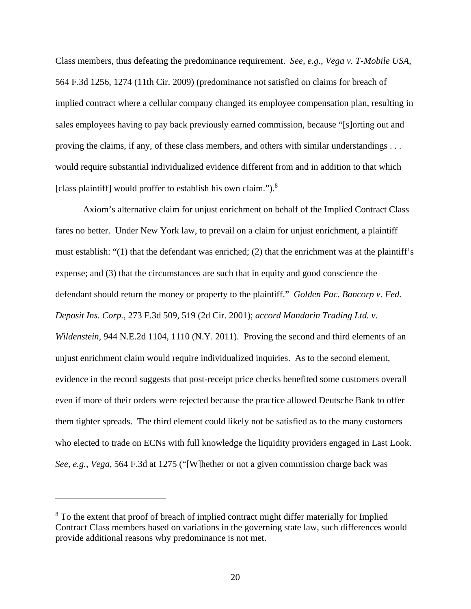Class members, thus defeating the predominance requirement. *See, e.g.*, *Vega v. T-Mobile USA*, 564 F.3d 1256, 1274 (11th Cir. 2009) (predominance not satisfied on claims for breach of implied contract where a cellular company changed its employee compensation plan, resulting in sales employees having to pay back previously earned commission, because "[s]orting out and proving the claims, if any, of these class members, and others with similar understandings . . . would require substantial individualized evidence different from and in addition to that which [class plaintiff] would proffer to establish his own claim.").8

Axiom's alternative claim for unjust enrichment on behalf of the Implied Contract Class fares no better. Under New York law, to prevail on a claim for unjust enrichment, a plaintiff must establish: "(1) that the defendant was enriched; (2) that the enrichment was at the plaintiff's expense; and (3) that the circumstances are such that in equity and good conscience the defendant should return the money or property to the plaintiff." *Golden Pac. Bancorp v. Fed. Deposit Ins. Corp.*, 273 F.3d 509, 519 (2d Cir. 2001); *accord Mandarin Trading Ltd. v. Wildenstein*, 944 N.E.2d 1104, 1110 (N.Y. 2011). Proving the second and third elements of an unjust enrichment claim would require individualized inquiries. As to the second element, evidence in the record suggests that post-receipt price checks benefited some customers overall even if more of their orders were rejected because the practice allowed Deutsche Bank to offer them tighter spreads. The third element could likely not be satisfied as to the many customers who elected to trade on ECNs with full knowledge the liquidity providers engaged in Last Look. *See, e.g.*, *Vega*, 564 F.3d at 1275 ("[W]hether or not a given commission charge back was

<sup>&</sup>lt;sup>8</sup> To the extent that proof of breach of implied contract might differ materially for Implied Contract Class members based on variations in the governing state law, such differences would provide additional reasons why predominance is not met.